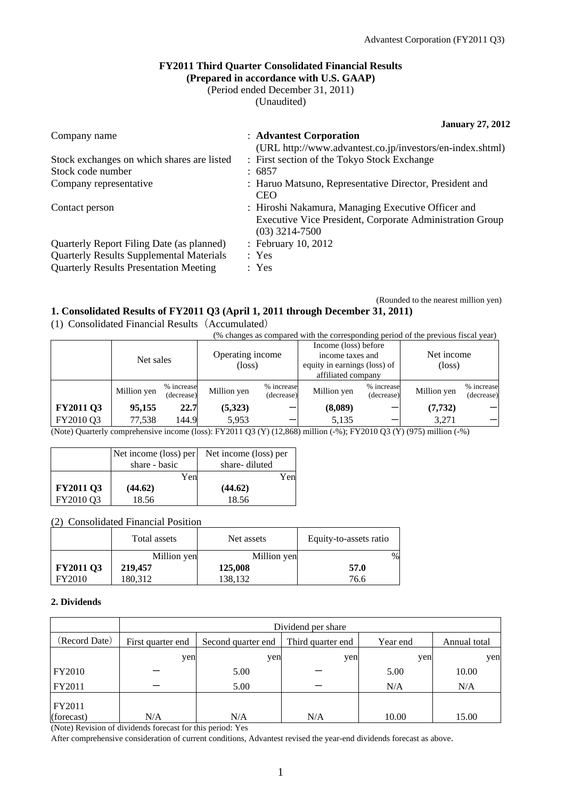(Rounded to the nearest million yen)

### **FY2011 Third Quarter Consolidated Financial Results (Prepared in accordance with U.S. GAAP)**

(Period ended December 31, 2011)

(Unaudited)

| <b>January 27, 2012</b> |  |  |
|-------------------------|--|--|
|-------------------------|--|--|

| Company name                                    | : Advantest Corporation                                                                                                            |
|-------------------------------------------------|------------------------------------------------------------------------------------------------------------------------------------|
|                                                 | (URL http://www.advantest.co.jp/investors/en-index.shtml)                                                                          |
| Stock exchanges on which shares are listed      | : First section of the Tokyo Stock Exchange                                                                                        |
| Stock code number                               | : 6857                                                                                                                             |
| Company representative                          | : Haruo Matsuno, Representative Director, President and<br><b>CEO</b>                                                              |
| Contact person                                  | : Hiroshi Nakamura, Managing Executive Officer and<br>Executive Vice President, Corporate Administration Group<br>$(03)$ 3214-7500 |
| Quarterly Report Filing Date (as planned)       | : February 10, 2012                                                                                                                |
| <b>Quarterly Results Supplemental Materials</b> | : Yes                                                                                                                              |
| <b>Quarterly Results Presentation Meeting</b>   | : Yes                                                                                                                              |

### **1. Consolidated Results of FY2011 Q3 (April 1, 2011 through December 31, 2011)**

(1) Consolidated Financial Results(Accumulated)

(% changes as compared with the corresponding period of the previous fiscal year)

|                  | Net sales   |                          | Operating income<br>$(\text{loss})$ |                          | Income (loss) before<br>income taxes and<br>equity in earnings (loss) of<br>affiliated company |                          | Net income<br>$(\text{loss})$ |                          |
|------------------|-------------|--------------------------|-------------------------------------|--------------------------|------------------------------------------------------------------------------------------------|--------------------------|-------------------------------|--------------------------|
|                  | Million yen | % increase<br>(decrease) | Million yen                         | % increase<br>(decrease) | Million yen                                                                                    | % increase<br>(decrease) | Million yen                   | % increase<br>(decrease) |
| <b>FY2011 Q3</b> | 95,155      | 22.7                     | (5,323)                             |                          | (8,089)                                                                                        |                          | (7, 732)                      |                          |
| FY2010 Q3        | 77,538      | 144.9                    | 5,953                               |                          | 5,135                                                                                          |                          | 3,271                         |                          |

(Note) Quarterly comprehensive income (loss): FY2011 Q3 (Y) (12,868) million (-%); FY2010 Q3 (Y) (975) million (-%)

|                  | Net income (loss) per<br>share - basic | Net income (loss) per<br>share-diluted |
|------------------|----------------------------------------|----------------------------------------|
|                  | Yen                                    | Yenl                                   |
| <b>FY2011 Q3</b> | (44.62)                                | (44.62)                                |
| FY2010 Q3        | 18.56                                  | 18.56                                  |

#### (2) Consolidated Financial Position

|                  | Total assets | Net assets  | Equity-to-assets ratio |
|------------------|--------------|-------------|------------------------|
|                  | Million yen  | Million yen | $\%$                   |
| <b>FY2011 Q3</b> | 219,457      | 125,008     | 57.0                   |
| FY2010           | 180.312      | 138,132     | 76.6                   |

#### **2. Dividends**

|                      | Dividend per share |                                         |     |          |              |  |  |  |
|----------------------|--------------------|-----------------------------------------|-----|----------|--------------|--|--|--|
| (Record Date)        | First quarter end  | Third quarter end<br>Second quarter end |     | Year end | Annual total |  |  |  |
|                      | yen                | yen                                     | yen | yen      | yen          |  |  |  |
| FY2010               |                    | 5.00                                    |     | 5.00     | 10.00        |  |  |  |
| FY2011               |                    | 5.00                                    |     | N/A      | N/A          |  |  |  |
| FY2011<br>(forecast) | N/A                | N/A                                     | N/A | 10.00    | 15.00        |  |  |  |

(Note) Revision of dividends forecast for this period: Yes

After comprehensive consideration of current conditions, Advantest revised the year-end dividends forecast as above.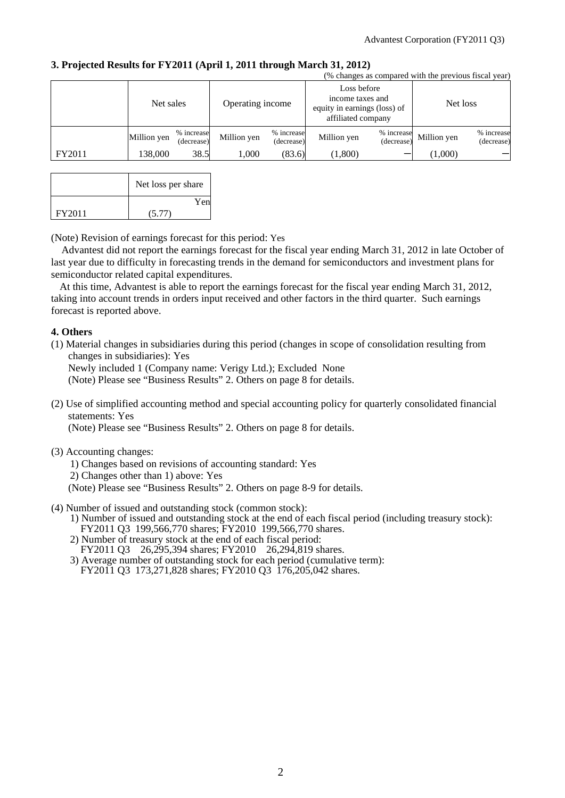**3. Projected Results for FY2011 (April 1, 2011 through March 31, 2012)** 

|        | (% changes as compared with the previous fiscal year) |                          |                  |                          |                                                                                       |                          |             |                          |  |
|--------|-------------------------------------------------------|--------------------------|------------------|--------------------------|---------------------------------------------------------------------------------------|--------------------------|-------------|--------------------------|--|
|        | Net sales                                             |                          | Operating income |                          | Loss before<br>income taxes and<br>equity in earnings (loss) of<br>affiliated company |                          | Net loss    |                          |  |
|        | Million yen                                           | % increase<br>(decrease) | Million yen      | % increase<br>(decrease) | Million yen                                                                           | % increase<br>(decrease) | Million yen | % increase<br>(decrease) |  |
| FY2011 | 138.000                                               | 38.5                     | 000.1            | (83.6)                   | (1,800)                                                                               |                          | (1,000)     |                          |  |

|        | Net loss per share |
|--------|--------------------|
|        | Yen                |
| FY2011 | (5.77)             |

(Note) Revision of earnings forecast for this period: Yes

Advantest did not report the earnings forecast for the fiscal year ending March 31, 2012 in late October of last year due to difficulty in forecasting trends in the demand for semiconductors and investment plans for semiconductor related capital expenditures.

At this time, Advantest is able to report the earnings forecast for the fiscal year ending March 31, 2012, taking into account trends in orders input received and other factors in the third quarter. Such earnings forecast is reported above.

### **4. Others**

(1) Material changes in subsidiaries during this period (changes in scope of consolidation resulting from changes in subsidiaries): Yes

Newly included 1 (Company name: Verigy Ltd.); Excluded None

(Note) Please see "Business Results" 2. Others on page 8 for details.

(2) Use of simplified accounting method and special accounting policy for quarterly consolidated financial statements: Yes

(Note) Please see "Business Results" 2. Others on page 8 for details.

(3) Accounting changes:

1) Changes based on revisions of accounting standard: Yes

- 2) Changes other than 1) above: Yes
- (Note) Please see "Business Results" 2. Others on page 8-9 for details.
- (4) Number of issued and outstanding stock (common stock):
	- 1) Number of issued and outstanding stock at the end of each fiscal period (including treasury stock): FY2011 Q3 199,566,770 shares; FY2010 199,566,770 shares.
	- 2) Number of treasury stock at the end of each fiscal period: FY2011 Q3 26,295,394 shares; FY2010 26,294,819 shares.
	- 3) Average number of outstanding stock for each period (cumulative term): FY2011 Q3 173,271,828 shares; FY2010 Q3 176,205,042 shares.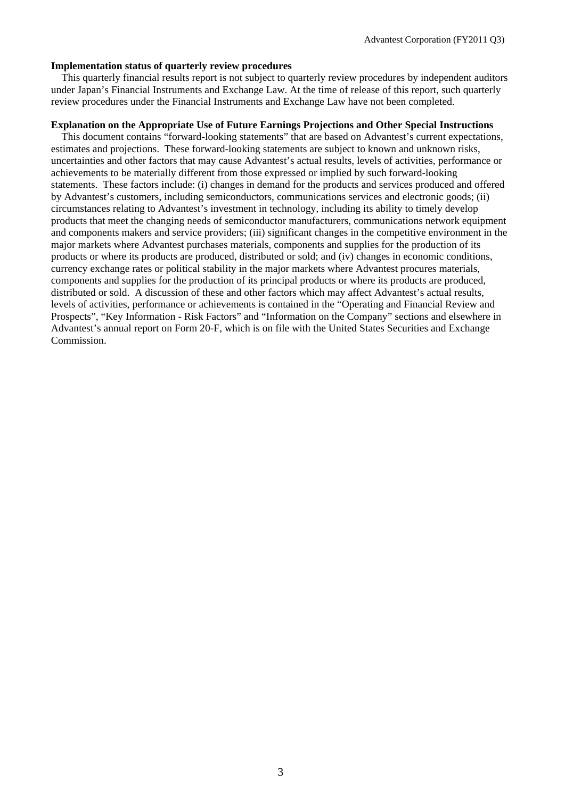#### **Implementation status of quarterly review procedures**

This quarterly financial results report is not subject to quarterly review procedures by independent auditors under Japan's Financial Instruments and Exchange Law. At the time of release of this report, such quarterly review procedures under the Financial Instruments and Exchange Law have not been completed.

### **Explanation on the Appropriate Use of Future Earnings Projections and Other Special Instructions**

This document contains "forward-looking statements" that are based on Advantest's current expectations, estimates and projections. These forward-looking statements are subject to known and unknown risks, uncertainties and other factors that may cause Advantest's actual results, levels of activities, performance or achievements to be materially different from those expressed or implied by such forward-looking statements. These factors include: (i) changes in demand for the products and services produced and offered by Advantest's customers, including semiconductors, communications services and electronic goods; (ii) circumstances relating to Advantest's investment in technology, including its ability to timely develop products that meet the changing needs of semiconductor manufacturers, communications network equipment and components makers and service providers; (iii) significant changes in the competitive environment in the major markets where Advantest purchases materials, components and supplies for the production of its products or where its products are produced, distributed or sold; and (iv) changes in economic conditions, currency exchange rates or political stability in the major markets where Advantest procures materials, components and supplies for the production of its principal products or where its products are produced, distributed or sold. A discussion of these and other factors which may affect Advantest's actual results, levels of activities, performance or achievements is contained in the "Operating and Financial Review and Prospects", "Key Information - Risk Factors" and "Information on the Company" sections and elsewhere in Advantest's annual report on Form 20-F, which is on file with the United States Securities and Exchange Commission.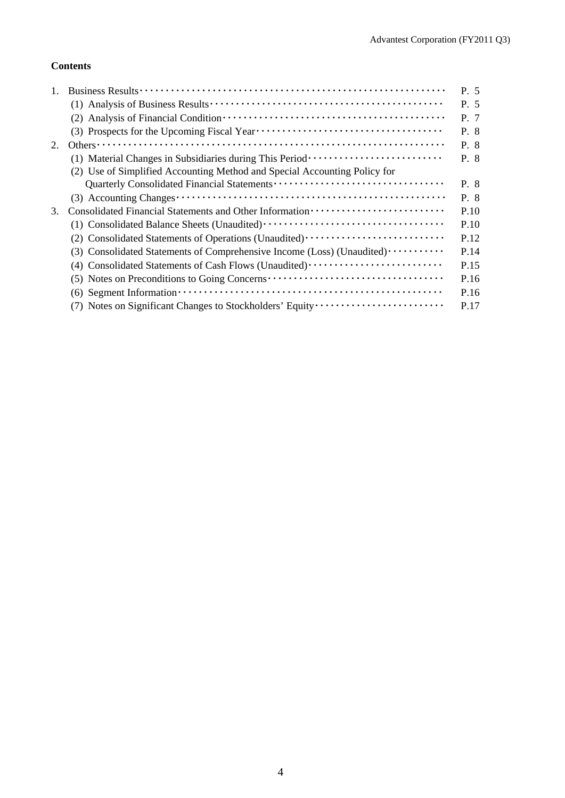### **Contents**

|    |                                                                                                                              | P. 5 |
|----|------------------------------------------------------------------------------------------------------------------------------|------|
|    |                                                                                                                              | P. 5 |
|    |                                                                                                                              | P. 7 |
|    |                                                                                                                              | P. 8 |
| 2. |                                                                                                                              | P. 8 |
|    | (1) Material Changes in Subsidiaries during This Period ························                                             | P. 8 |
|    | (2) Use of Simplified Accounting Method and Special Accounting Policy for                                                    |      |
|    |                                                                                                                              | P. 8 |
|    |                                                                                                                              | P. 8 |
| 3. |                                                                                                                              | P.10 |
|    |                                                                                                                              | P.10 |
|    | (2) Consolidated Statements of Operations (Unaudited) ··························                                             | P.12 |
|    | (3) Consolidated Statements of Comprehensive Income (Loss) (Unaudited)                                                       | P.14 |
|    | (4) Consolidated Statements of Cash Flows (Unaudited)                                                                        | P.15 |
|    | (5) Notes on Preconditions to Going Concerns ···································                                             | P.16 |
|    | $(6)$ Segment Information $\cdots$ $\cdots$ $\cdots$ $\cdots$ $\cdots$ $\cdots$ $\cdots$ $\cdots$ $\cdots$ $\cdots$ $\cdots$ | P.16 |
|    | (7) Notes on Significant Changes to Stockholders' Equity                                                                     | P.17 |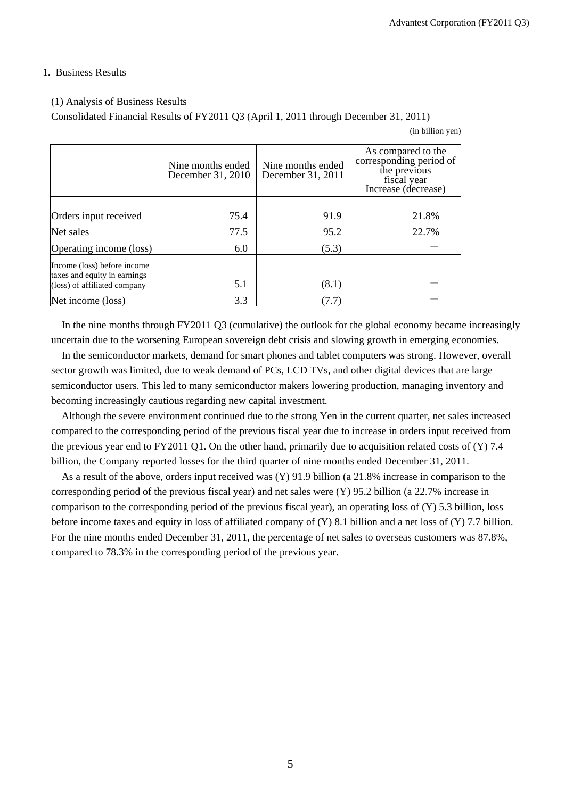#### 1. Business Results

#### (1) Analysis of Business Results

Consolidated Financial Results of FY2011 Q3 (April 1, 2011 through December 31, 2011)

(in billion yen)

|                                                                                             | Nine months ended<br>December 31, 2010 | Nine months ended<br>December 31, 2011 | As compared to the<br>corresponding period of<br>the previous<br>fiscal year<br>Increase (decrease) |
|---------------------------------------------------------------------------------------------|----------------------------------------|----------------------------------------|-----------------------------------------------------------------------------------------------------|
|                                                                                             |                                        |                                        |                                                                                                     |
| Orders input received                                                                       | 75.4                                   | 91.9                                   | 21.8%                                                                                               |
| Net sales                                                                                   | 77.5                                   | 95.2                                   | 22.7%                                                                                               |
| Operating income (loss)                                                                     | 6.0                                    | (5.3)                                  |                                                                                                     |
| Income (loss) before income<br>taxes and equity in earnings<br>(loss) of affiliated company | 5.1                                    | (8.1)                                  |                                                                                                     |
|                                                                                             |                                        |                                        |                                                                                                     |
| Net income (loss)                                                                           | 3.3                                    | (7.7)                                  |                                                                                                     |

In the nine months through FY2011 Q3 (cumulative) the outlook for the global economy became increasingly uncertain due to the worsening European sovereign debt crisis and slowing growth in emerging economies.

In the semiconductor markets, demand for smart phones and tablet computers was strong. However, overall sector growth was limited, due to weak demand of PCs, LCD TVs, and other digital devices that are large semiconductor users. This led to many semiconductor makers lowering production, managing inventory and becoming increasingly cautious regarding new capital investment.

Although the severe environment continued due to the strong Yen in the current quarter, net sales increased compared to the corresponding period of the previous fiscal year due to increase in orders input received from the previous year end to FY2011 Q1. On the other hand, primarily due to acquisition related costs of (Y) 7.4 billion, the Company reported losses for the third quarter of nine months ended December 31, 2011.

As a result of the above, orders input received was (Y) 91.9 billion (a 21.8% increase in comparison to the corresponding period of the previous fiscal year) and net sales were (Y) 95.2 billion (a 22.7% increase in comparison to the corresponding period of the previous fiscal year), an operating loss of (Y) 5.3 billion, loss before income taxes and equity in loss of affiliated company of (Y) 8.1 billion and a net loss of (Y) 7.7 billion. For the nine months ended December 31, 2011, the percentage of net sales to overseas customers was 87.8%, compared to 78.3% in the corresponding period of the previous year.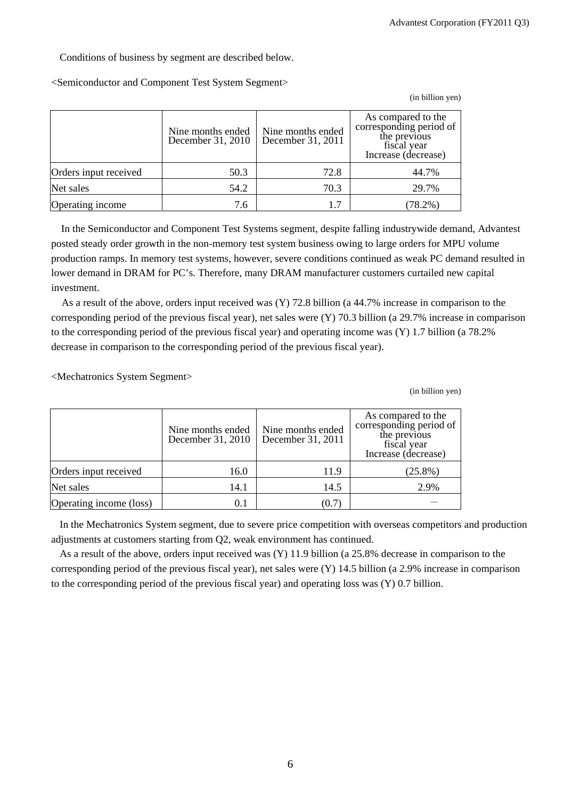Conditions of business by segment are described below.

<Semiconductor and Component Test System Segment>

|  | (in billion yen) |
|--|------------------|
|  |                  |

|                       | Nine months ended<br>December 31, 2010 | Nine months ended<br>December 31, 2011 | As compared to the<br>corresponding period of<br>the previous<br>fiscal year<br>Increase (decrease) |
|-----------------------|----------------------------------------|----------------------------------------|-----------------------------------------------------------------------------------------------------|
| Orders input received | 50.3                                   | 72.8                                   | 44.7%                                                                                               |
| Net sales             | 54.2                                   | 70.3                                   | 29.7%                                                                                               |
| Operating income      | 7.6                                    |                                        | $78.2\%$ )                                                                                          |

In the Semiconductor and Component Test Systems segment, despite falling industrywide demand, Advantest posted steady order growth in the non-memory test system business owing to large orders for MPU volume production ramps. In memory test systems, however, severe conditions continued as weak PC demand resulted in lower demand in DRAM for PC's. Therefore, many DRAM manufacturer customers curtailed new capital investment.

As a result of the above, orders input received was (Y) 72.8 billion (a 44.7% increase in comparison to the corresponding period of the previous fiscal year), net sales were (Y) 70.3 billion (a 29.7% increase in comparison to the corresponding period of the previous fiscal year) and operating income was (Y) 1.7 billion (a 78.2% decrease in comparison to the corresponding period of the previous fiscal year).

<Mechatronics System Segment>

(in billion yen)

|                         | Nine months ended<br>December 31, 2010 | Nine months ended<br>December 31, 2011 | As compared to the<br>corresponding period of<br>the previous<br>fiscal year<br>Increase (decrease) |
|-------------------------|----------------------------------------|----------------------------------------|-----------------------------------------------------------------------------------------------------|
| Orders input received   | 16.0                                   | 11.9                                   | $(25.8\%)$                                                                                          |
| Net sales               | 14.1                                   | 14.5                                   | 2.9%                                                                                                |
| Operating income (loss) | 0.1                                    | (0.7)                                  |                                                                                                     |

In the Mechatronics System segment, due to severe price competition with overseas competitors and production adjustments at customers starting from Q2, weak environment has continued.

As a result of the above, orders input received was (Y) 11.9 billion (a 25.8% decrease in comparison to the corresponding period of the previous fiscal year), net sales were (Y) 14.5 billion (a 2.9% increase in comparison to the corresponding period of the previous fiscal year) and operating loss was  $(Y)$  0.7 billion.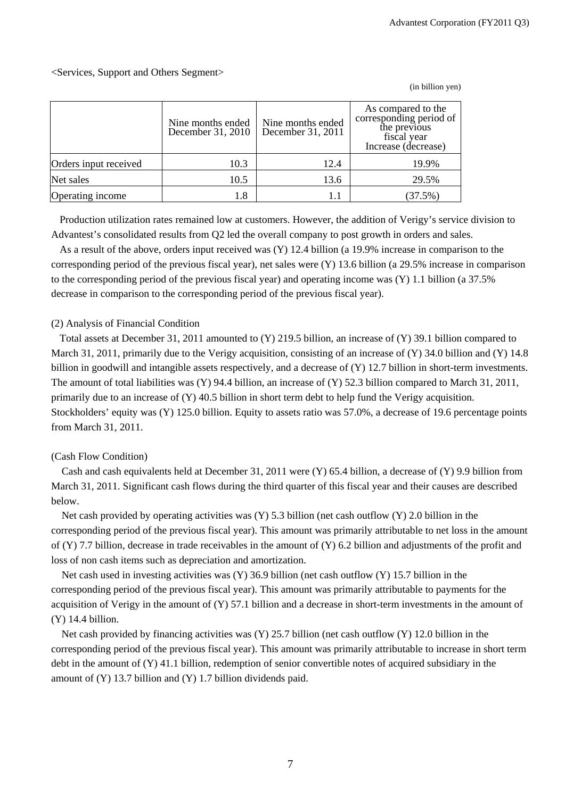### <Services, Support and Others Segment>

Nine months ended December 31, 2010 Nine months ended December 31, 2011 As compared to the corresponding period of the previous fiscal year Increase (decrease) Orders input received  $10.3$  10.3 12.4 19.9% Net sales 10.5 13.6 29.5% Operating income  $1.8$   $1.1$   $(37.5%)$ 

Production utilization rates remained low at customers. However, the addition of Verigy's service division to Advantest's consolidated results from Q2 led the overall company to post growth in orders and sales.

As a result of the above, orders input received was (Y) 12.4 billion (a 19.9% increase in comparison to the corresponding period of the previous fiscal year), net sales were (Y) 13.6 billion (a 29.5% increase in comparison to the corresponding period of the previous fiscal year) and operating income was (Y) 1.1 billion (a 37.5% decrease in comparison to the corresponding period of the previous fiscal year).

#### (2) Analysis of Financial Condition

Total assets at December 31, 2011 amounted to (Y) 219.5 billion, an increase of (Y) 39.1 billion compared to March 31, 2011, primarily due to the Verigy acquisition, consisting of an increase of (Y) 34.0 billion and (Y) 14.8 billion in goodwill and intangible assets respectively, and a decrease of (Y) 12.7 billion in short-term investments. The amount of total liabilities was (Y) 94.4 billion, an increase of (Y) 52.3 billion compared to March 31, 2011, primarily due to an increase of (Y) 40.5 billion in short term debt to help fund the Verigy acquisition. Stockholders' equity was (Y) 125.0 billion. Equity to assets ratio was 57.0%, a decrease of 19.6 percentage points from March 31, 2011.

### (Cash Flow Condition)

Cash and cash equivalents held at December 31, 2011 were (Y) 65.4 billion, a decrease of (Y) 9.9 billion from March 31, 2011. Significant cash flows during the third quarter of this fiscal year and their causes are described below.

Net cash provided by operating activities was  $(Y)$  5.3 billion (net cash outflow  $(Y)$  2.0 billion in the corresponding period of the previous fiscal year). This amount was primarily attributable to net loss in the amount of  $(Y)$  7.7 billion, decrease in trade receivables in the amount of  $(Y)$  6.2 billion and adjustments of the profit and loss of non cash items such as depreciation and amortization.

Net cash used in investing activities was (Y) 36.9 billion (net cash outflow (Y) 15.7 billion in the corresponding period of the previous fiscal year). This amount was primarily attributable to payments for the acquisition of Verigy in the amount of  $(Y)$  57.1 billion and a decrease in short-term investments in the amount of (Y) 14.4 billion.

Net cash provided by financing activities was (Y) 25.7 billion (net cash outflow (Y) 12.0 billion in the corresponding period of the previous fiscal year). This amount was primarily attributable to increase in short term debt in the amount of (Y) 41.1 billion, redemption of senior convertible notes of acquired subsidiary in the amount of (Y) 13.7 billion and (Y) 1.7 billion dividends paid.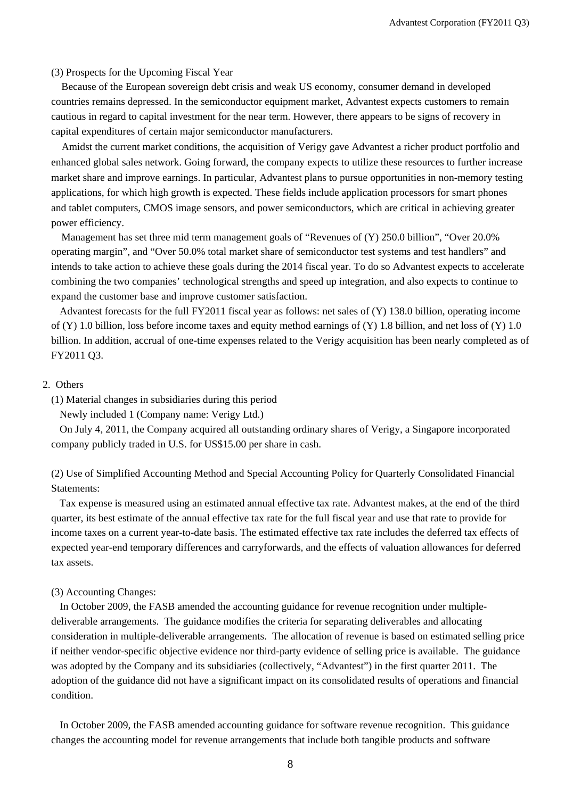(3) Prospects for the Upcoming Fiscal Year

Because of the European sovereign debt crisis and weak US economy, consumer demand in developed countries remains depressed. In the semiconductor equipment market, Advantest expects customers to remain cautious in regard to capital investment for the near term. However, there appears to be signs of recovery in capital expenditures of certain major semiconductor manufacturers.

Amidst the current market conditions, the acquisition of Verigy gave Advantest a richer product portfolio and enhanced global sales network. Going forward, the company expects to utilize these resources to further increase market share and improve earnings. In particular, Advantest plans to pursue opportunities in non-memory testing applications, for which high growth is expected. These fields include application processors for smart phones and tablet computers, CMOS image sensors, and power semiconductors, which are critical in achieving greater power efficiency.

Management has set three mid term management goals of "Revenues of (Y) 250.0 billion", "Over 20.0% operating margin", and "Over 50.0% total market share of semiconductor test systems and test handlers" and intends to take action to achieve these goals during the 2014 fiscal year. To do so Advantest expects to accelerate combining the two companies' technological strengths and speed up integration, and also expects to continue to expand the customer base and improve customer satisfaction.

Advantest forecasts for the full FY2011 fiscal year as follows: net sales of (Y) 138.0 billion, operating income of (Y) 1.0 billion, loss before income taxes and equity method earnings of (Y) 1.8 billion, and net loss of (Y) 1.0 billion. In addition, accrual of one-time expenses related to the Verigy acquisition has been nearly completed as of FY2011 Q3.

#### 2. Others

(1) Material changes in subsidiaries during this period

Newly included 1 (Company name: Verigy Ltd.)

On July 4, 2011, the Company acquired all outstanding ordinary shares of Verigy, a Singapore incorporated company publicly traded in U.S. for US\$15.00 per share in cash.

(2) Use of Simplified Accounting Method and Special Accounting Policy for Quarterly Consolidated Financial Statements:

Tax expense is measured using an estimated annual effective tax rate. Advantest makes, at the end of the third quarter, its best estimate of the annual effective tax rate for the full fiscal year and use that rate to provide for income taxes on a current year-to-date basis. The estimated effective tax rate includes the deferred tax effects of expected year-end temporary differences and carryforwards, and the effects of valuation allowances for deferred tax assets.

#### (3) Accounting Changes:

In October 2009, the FASB amended the accounting guidance for revenue recognition under multipledeliverable arrangements. The guidance modifies the criteria for separating deliverables and allocating consideration in multiple-deliverable arrangements. The allocation of revenue is based on estimated selling price if neither vendor-specific objective evidence nor third-party evidence of selling price is available. The guidance was adopted by the Company and its subsidiaries (collectively, "Advantest") in the first quarter 2011. The adoption of the guidance did not have a significant impact on its consolidated results of operations and financial condition.

In October 2009, the FASB amended accounting guidance for software revenue recognition. This guidance changes the accounting model for revenue arrangements that include both tangible products and software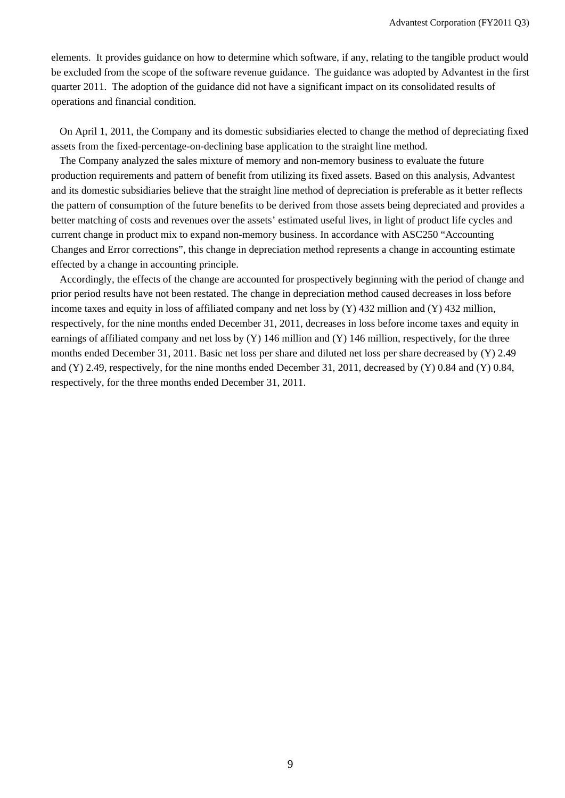elements. It provides guidance on how to determine which software, if any, relating to the tangible product would be excluded from the scope of the software revenue guidance. The guidance was adopted by Advantest in the first quarter 2011. The adoption of the guidance did not have a significant impact on its consolidated results of operations and financial condition.

On April 1, 2011, the Company and its domestic subsidiaries elected to change the method of depreciating fixed assets from the fixed-percentage-on-declining base application to the straight line method.

The Company analyzed the sales mixture of memory and non-memory business to evaluate the future production requirements and pattern of benefit from utilizing its fixed assets. Based on this analysis, Advantest and its domestic subsidiaries believe that the straight line method of depreciation is preferable as it better reflects the pattern of consumption of the future benefits to be derived from those assets being depreciated and provides a better matching of costs and revenues over the assets' estimated useful lives, in light of product life cycles and current change in product mix to expand non-memory business. In accordance with ASC250 "Accounting Changes and Error corrections", this change in depreciation method represents a change in accounting estimate effected by a change in accounting principle.

Accordingly, the effects of the change are accounted for prospectively beginning with the period of change and prior period results have not been restated. The change in depreciation method caused decreases in loss before income taxes and equity in loss of affiliated company and net loss by (Y) 432 million and (Y) 432 million, respectively, for the nine months ended December 31, 2011, decreases in loss before income taxes and equity in earnings of affiliated company and net loss by  $(Y)$  146 million and  $(Y)$  146 million, respectively, for the three months ended December 31, 2011. Basic net loss per share and diluted net loss per share decreased by (Y) 2.49 and (Y) 2.49, respectively, for the nine months ended December 31, 2011, decreased by (Y) 0.84 and (Y) 0.84, respectively, for the three months ended December 31, 2011.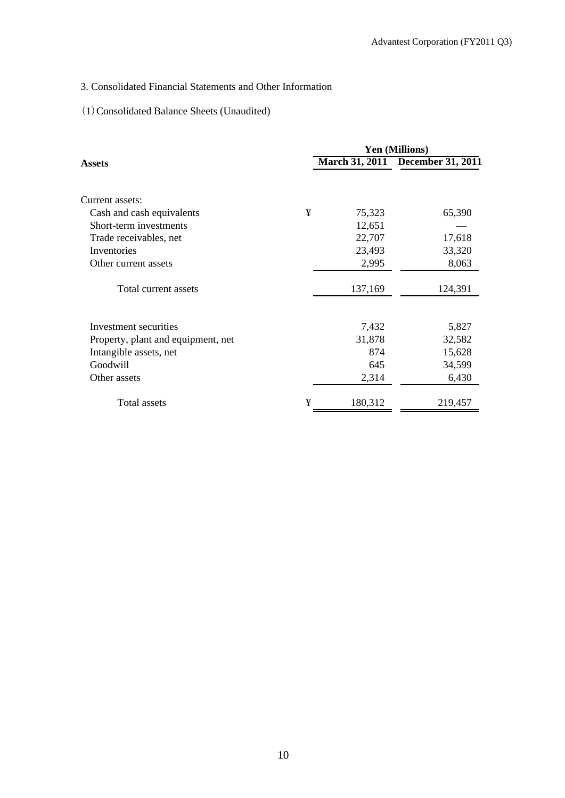## 3. Consolidated Financial Statements and Other Information

## (1)Consolidated Balance Sheets (Unaudited)

|                                    |   | <b>Yen (Millions)</b> |                                  |  |  |
|------------------------------------|---|-----------------------|----------------------------------|--|--|
| Assets                             |   |                       | March 31, 2011 December 31, 2011 |  |  |
| Current assets:                    |   |                       |                                  |  |  |
| Cash and cash equivalents          | ¥ | 75,323                | 65,390                           |  |  |
| Short-term investments             |   | 12,651                |                                  |  |  |
| Trade receivables, net             |   | 22,707                | 17,618                           |  |  |
| Inventories                        |   | 23,493                | 33,320                           |  |  |
| Other current assets               |   | 2,995                 | 8,063                            |  |  |
| Total current assets               |   | 137,169               | 124,391                          |  |  |
| Investment securities              |   | 7,432                 | 5,827                            |  |  |
| Property, plant and equipment, net |   | 31,878                | 32,582                           |  |  |
| Intangible assets, net             |   | 874                   | 15,628                           |  |  |
| Goodwill                           |   | 645                   | 34,599                           |  |  |
| Other assets                       |   | 2,314                 | 6,430                            |  |  |
| Total assets                       | ¥ | 180,312               | 219,457                          |  |  |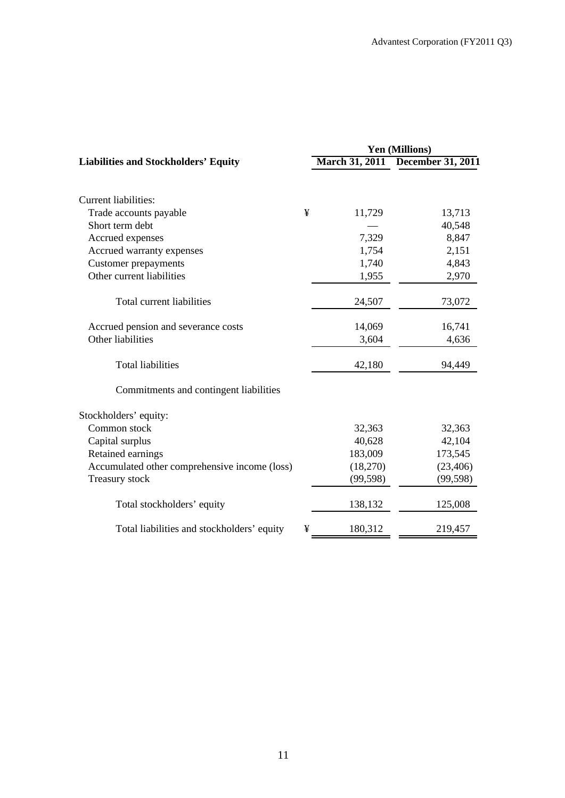|                                               | <b>Yen (Millions)</b> |           |                                  |  |
|-----------------------------------------------|-----------------------|-----------|----------------------------------|--|
| <b>Liabilities and Stockholders' Equity</b>   |                       |           | March 31, 2011 December 31, 2011 |  |
|                                               |                       |           |                                  |  |
| <b>Current liabilities:</b>                   |                       |           |                                  |  |
| Trade accounts payable                        | ¥                     | 11,729    | 13,713                           |  |
| Short term debt                               |                       |           | 40,548                           |  |
| Accrued expenses                              |                       | 7,329     | 8,847                            |  |
| Accrued warranty expenses                     |                       | 1,754     | 2,151                            |  |
| <b>Customer</b> prepayments                   |                       | 1,740     | 4,843                            |  |
| Other current liabilities                     |                       | 1,955     | 2,970                            |  |
| Total current liabilities                     |                       | 24,507    | 73,072                           |  |
| Accrued pension and severance costs           |                       | 14,069    | 16,741                           |  |
| Other liabilities                             |                       | 3,604     | 4,636                            |  |
| <b>Total liabilities</b>                      |                       | 42,180    | 94,449                           |  |
| Commitments and contingent liabilities        |                       |           |                                  |  |
| Stockholders' equity:                         |                       |           |                                  |  |
| Common stock                                  |                       | 32,363    | 32,363                           |  |
| Capital surplus                               |                       | 40,628    | 42,104                           |  |
| Retained earnings                             |                       | 183,009   | 173,545                          |  |
| Accumulated other comprehensive income (loss) |                       | (18,270)  | (23, 406)                        |  |
| <b>Treasury stock</b>                         |                       | (99, 598) | (99, 598)                        |  |
| Total stockholders' equity                    |                       | 138,132   | 125,008                          |  |
| Total liabilities and stockholders' equity    | ¥                     | 180,312   | 219,457                          |  |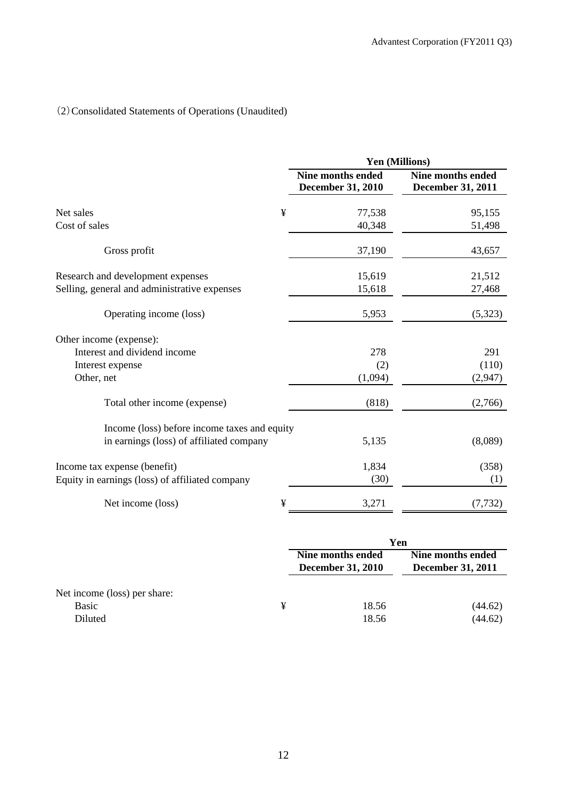# (2)Consolidated Statements of Operations (Unaudited)

|                                                 | Yen (Millions)                                       |                                                      |  |  |  |
|-------------------------------------------------|------------------------------------------------------|------------------------------------------------------|--|--|--|
|                                                 | <b>Nine months ended</b><br><b>December 31, 2010</b> | <b>Nine months ended</b><br><b>December 31, 2011</b> |  |  |  |
| ¥<br>Net sales                                  | 77,538                                               | 95,155                                               |  |  |  |
| Cost of sales                                   | 40,348                                               | 51,498                                               |  |  |  |
| Gross profit                                    | 37,190                                               | 43,657                                               |  |  |  |
| Research and development expenses               | 15,619                                               | 21,512                                               |  |  |  |
| Selling, general and administrative expenses    | 15,618                                               | 27,468                                               |  |  |  |
| Operating income (loss)                         | 5,953                                                | (5,323)                                              |  |  |  |
| Other income (expense):                         |                                                      |                                                      |  |  |  |
| Interest and dividend income                    | 278                                                  | 291                                                  |  |  |  |
| Interest expense                                | (2)                                                  | (110)                                                |  |  |  |
| Other, net                                      | (1,094)                                              | (2,947)                                              |  |  |  |
| Total other income (expense)                    | (818)                                                | (2,766)                                              |  |  |  |
| Income (loss) before income taxes and equity    |                                                      |                                                      |  |  |  |
| in earnings (loss) of affiliated company        | 5,135                                                | (8,089)                                              |  |  |  |
| Income tax expense (benefit)                    | 1,834                                                | (358)                                                |  |  |  |
| Equity in earnings (loss) of affiliated company | (30)                                                 | (1)                                                  |  |  |  |
| ¥<br>Net income (loss)                          | 3,271                                                | (7, 732)                                             |  |  |  |

|                              |   | Yen                      |                          |  |  |
|------------------------------|---|--------------------------|--------------------------|--|--|
|                              |   | Nine months ended        | Nine months ended        |  |  |
|                              |   | <b>December 31, 2010</b> | <b>December 31, 2011</b> |  |  |
| Net income (loss) per share: |   |                          |                          |  |  |
| Basic                        | ¥ | 18.56                    | (44.62)                  |  |  |
| Diluted                      |   | 18.56                    | (44.62)                  |  |  |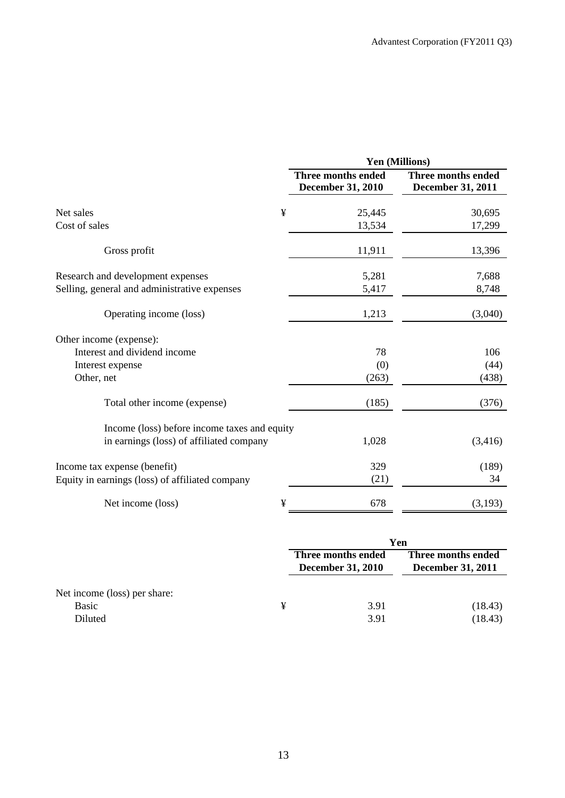|                                                 | Yen (Millions)                                        |                                                |  |  |  |
|-------------------------------------------------|-------------------------------------------------------|------------------------------------------------|--|--|--|
|                                                 | <b>Three months ended</b><br><b>December 31, 2010</b> | Three months ended<br><b>December 31, 2011</b> |  |  |  |
| ¥<br>Net sales                                  | 25,445                                                | 30,695                                         |  |  |  |
| Cost of sales                                   | 13,534                                                | 17,299                                         |  |  |  |
| Gross profit                                    | 11,911                                                | 13,396                                         |  |  |  |
| Research and development expenses               | 5,281                                                 | 7,688                                          |  |  |  |
| Selling, general and administrative expenses    | 5,417                                                 | 8,748                                          |  |  |  |
| Operating income (loss)                         | 1,213                                                 | (3,040)                                        |  |  |  |
| Other income (expense):                         |                                                       |                                                |  |  |  |
| Interest and dividend income                    | 78                                                    | 106                                            |  |  |  |
| Interest expense                                | (0)                                                   | (44)                                           |  |  |  |
| Other, net                                      | (263)                                                 | (438)                                          |  |  |  |
| Total other income (expense)                    | (185)                                                 | (376)                                          |  |  |  |
| Income (loss) before income taxes and equity    |                                                       |                                                |  |  |  |
| in earnings (loss) of affiliated company        | 1,028                                                 | (3,416)                                        |  |  |  |
| Income tax expense (benefit)                    | 329                                                   | (189)                                          |  |  |  |
| Equity in earnings (loss) of affiliated company | (21)                                                  | 34                                             |  |  |  |
| ¥<br>Net income (loss)                          | 678                                                   | (3,193)                                        |  |  |  |

|                              |   | Yen                                            |                                                |  |
|------------------------------|---|------------------------------------------------|------------------------------------------------|--|
|                              |   | Three months ended<br><b>December 31, 2010</b> | Three months ended<br><b>December 31, 2011</b> |  |
| Net income (loss) per share: |   |                                                |                                                |  |
| Basic<br>Diluted             | ¥ | 3.91<br>3.91                                   | (18.43)<br>(18.43)                             |  |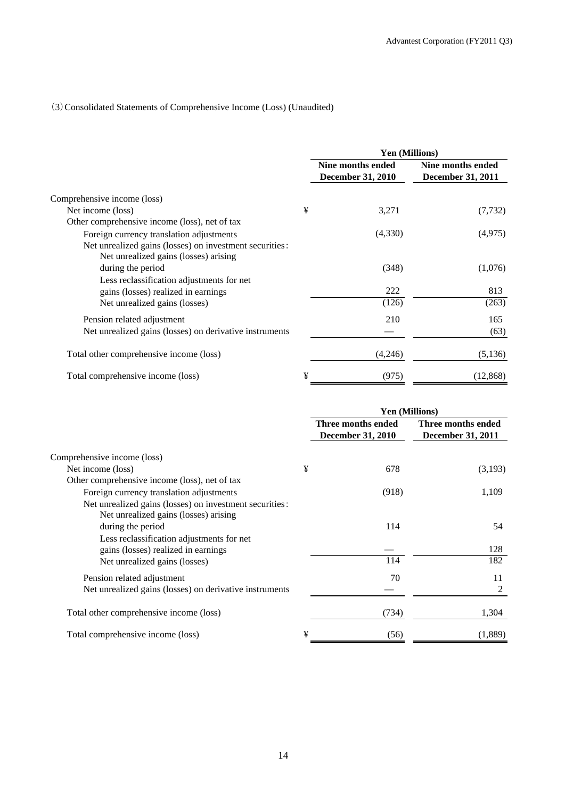## (3)Consolidated Statements of Comprehensive Income (Loss) (Unaudited)

|                                                                                                  |   | Yen (Millions)                                |                                               |  |
|--------------------------------------------------------------------------------------------------|---|-----------------------------------------------|-----------------------------------------------|--|
|                                                                                                  |   | Nine months ended<br><b>December 31, 2010</b> | Nine months ended<br><b>December 31, 2011</b> |  |
| Comprehensive income (loss)                                                                      |   |                                               |                                               |  |
| Net income (loss)                                                                                | ¥ | 3,271                                         | (7, 732)                                      |  |
| Other comprehensive income (loss), net of tax                                                    |   |                                               |                                               |  |
| Foreign currency translation adjustments                                                         |   | (4,330)                                       | (4,975)                                       |  |
| Net unrealized gains (losses) on investment securities:<br>Net unrealized gains (losses) arising |   |                                               |                                               |  |
| during the period                                                                                |   | (348)                                         | (1,076)                                       |  |
| Less reclassification adjustments for net                                                        |   |                                               |                                               |  |
| gains (losses) realized in earnings                                                              |   | 222                                           | 813                                           |  |
| Net unrealized gains (losses)                                                                    |   | (126)                                         | (263)                                         |  |
| Pension related adjustment                                                                       |   | 210                                           | 165                                           |  |
| Net unrealized gains (losses) on derivative instruments                                          |   |                                               | (63)                                          |  |
| Total other comprehensive income (loss)                                                          |   | (4,246)                                       | (5,136)                                       |  |
| Total comprehensive income (loss)                                                                | ¥ | (975)                                         | (12, 868)                                     |  |

|                                                                                                                                                      |   | <b>Yen (Millions)</b>                          |                                                |  |
|------------------------------------------------------------------------------------------------------------------------------------------------------|---|------------------------------------------------|------------------------------------------------|--|
|                                                                                                                                                      |   | Three months ended<br><b>December 31, 2010</b> | Three months ended<br><b>December 31, 2011</b> |  |
| Comprehensive income (loss)                                                                                                                          |   |                                                |                                                |  |
| Net income (loss)                                                                                                                                    | ¥ | 678                                            | (3,193)                                        |  |
| Other comprehensive income (loss), net of tax<br>Foreign currency translation adjustments<br>Net unrealized gains (losses) on investment securities: |   | (918)                                          | 1,109                                          |  |
| Net unrealized gains (losses) arising<br>during the period                                                                                           |   | 114                                            | 54                                             |  |
| Less reclassification adjustments for net<br>gains (losses) realized in earnings<br>Net unrealized gains (losses)                                    |   | 114                                            | 128<br>182                                     |  |
| Pension related adjustment<br>Net unrealized gains (losses) on derivative instruments                                                                |   | 70                                             | 11<br>2                                        |  |
| Total other comprehensive income (loss)                                                                                                              |   | (734)                                          | 1,304                                          |  |
| Total comprehensive income (loss)                                                                                                                    | ¥ | (56)                                           | (1,889)                                        |  |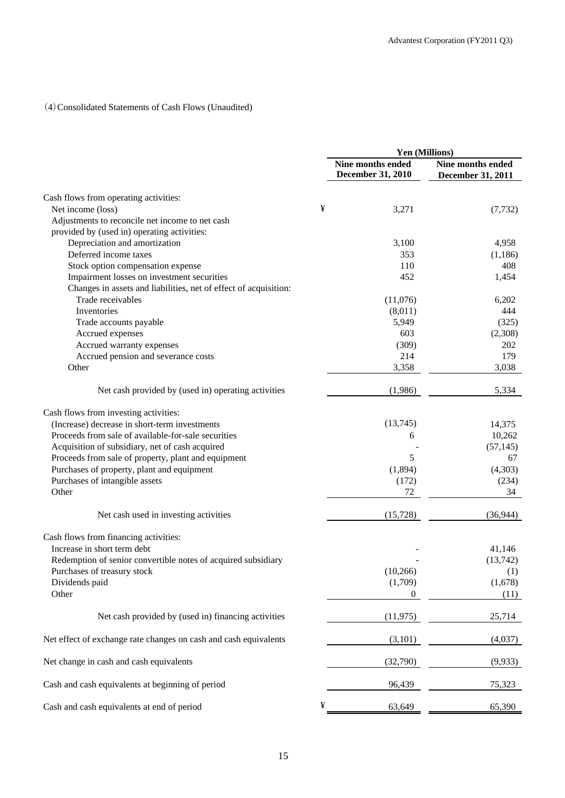## (4)Consolidated Statements of Cash Flows (Unaudited)

|                                                                  |   | Yen (Millions)                                |                                        |  |
|------------------------------------------------------------------|---|-----------------------------------------------|----------------------------------------|--|
|                                                                  |   | Nine months ended<br><b>December 31, 2010</b> | Nine months ended<br>December 31, 2011 |  |
| Cash flows from operating activities:                            |   |                                               |                                        |  |
| Net income (loss)                                                | ¥ | 3,271                                         | (7, 732)                               |  |
| Adjustments to reconcile net income to net cash                  |   |                                               |                                        |  |
| provided by (used in) operating activities:                      |   |                                               |                                        |  |
| Depreciation and amortization                                    |   | 3,100                                         | 4,958                                  |  |
| Deferred income taxes                                            |   | 353                                           | (1, 186)                               |  |
| Stock option compensation expense                                |   | 110                                           | 408                                    |  |
| Impairment losses on investment securities                       |   | 452                                           | 1,454                                  |  |
| Changes in assets and liabilities, net of effect of acquisition: |   |                                               |                                        |  |
| Trade receivables                                                |   | (11,076)                                      | 6,202                                  |  |
| Inventories                                                      |   | (8,011)                                       | 444                                    |  |
| Trade accounts payable                                           |   | 5,949                                         | (325)                                  |  |
| Accrued expenses                                                 |   | 603                                           | (2,308)                                |  |
| Accrued warranty expenses                                        |   | (309)                                         | 202                                    |  |
| Accrued pension and severance costs                              |   | 214                                           | 179                                    |  |
| Other                                                            |   | 3,358                                         | 3,038                                  |  |
| Net cash provided by (used in) operating activities              |   | (1,986)                                       | 5,334                                  |  |
| Cash flows from investing activities:                            |   |                                               |                                        |  |
| (Increase) decrease in short-term investments                    |   | (13,745)                                      | 14,375                                 |  |
| Proceeds from sale of available-for-sale securities              |   | 6                                             | 10,262                                 |  |
| Acquisition of subsidiary, net of cash acquired                  |   |                                               | (57, 145)                              |  |
| Proceeds from sale of property, plant and equipment              |   | 5                                             | 67                                     |  |
| Purchases of property, plant and equipment                       |   | (1,894)                                       | (4,303)                                |  |
| Purchases of intangible assets                                   |   | (172)                                         | (234)                                  |  |
| Other                                                            |   | 72                                            | 34                                     |  |
| Net cash used in investing activities                            |   | (15, 728)                                     | (36,944)                               |  |
| Cash flows from financing activities:                            |   |                                               |                                        |  |
| Increase in short term debt                                      |   |                                               | 41,146                                 |  |
| Redemption of senior convertible notes of acquired subsidiary    |   |                                               | (13,742)                               |  |
| Purchases of treasury stock                                      |   | (10, 266)                                     | (1)                                    |  |
| Dividends paid                                                   |   | (1,709)                                       | (1,678)                                |  |
| Other                                                            |   | $\theta$                                      | (11)                                   |  |
| Net cash provided by (used in) financing activities              |   | (11, 975)                                     | 25,714                                 |  |
| Net effect of exchange rate changes on cash and cash equivalents |   | (3,101)                                       | (4,037)                                |  |
|                                                                  |   |                                               |                                        |  |
| Net change in cash and cash equivalents                          |   | (32,790)                                      | (9,933)                                |  |
| Cash and cash equivalents at beginning of period                 |   | 96,439                                        | 75,323                                 |  |
| Cash and cash equivalents at end of period                       | ¥ | 63,649                                        | 65,390                                 |  |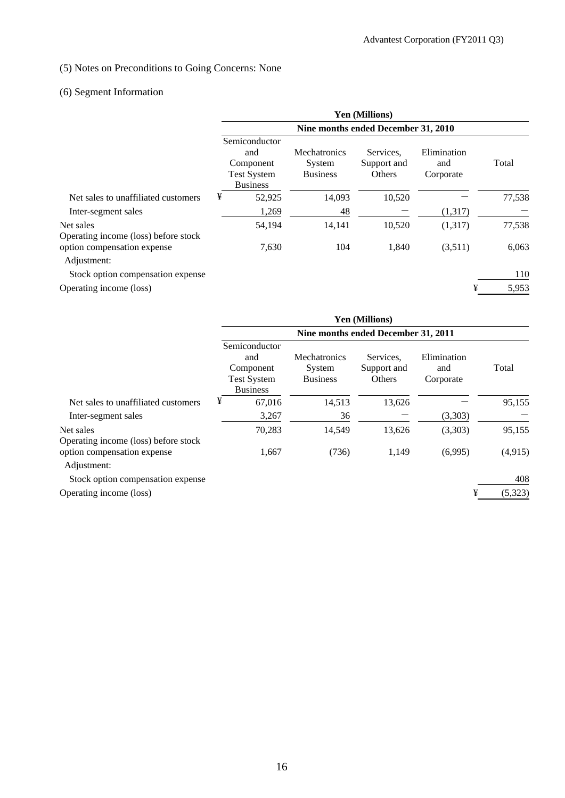## (5) Notes on Preconditions to Going Concerns: None

## (6) Segment Information

|                                                   | <b>Yen (Millions)</b>                                                      |                                                  |                                    |                                 |        |  |  |
|---------------------------------------------------|----------------------------------------------------------------------------|--------------------------------------------------|------------------------------------|---------------------------------|--------|--|--|
|                                                   | Nine months ended December 31, 2010                                        |                                                  |                                    |                                 |        |  |  |
|                                                   | Semiconductor<br>and<br>Component<br><b>Test System</b><br><b>Business</b> | <b>Mechatronics</b><br>System<br><b>Business</b> | Services.<br>Support and<br>Others | Elimination<br>and<br>Corporate | Total  |  |  |
| Net sales to unaffiliated customers               | ¥<br>52,925                                                                | 14,093                                           | 10,520                             |                                 | 77,538 |  |  |
| Inter-segment sales                               | 1,269                                                                      | 48                                               |                                    | (1,317)                         |        |  |  |
| Net sales<br>Operating income (loss) before stock | 54,194                                                                     | 14,141                                           | 10,520                             | (1,317)                         | 77,538 |  |  |
| option compensation expense<br>Adjustment:        | 7,630                                                                      | 104                                              | 1,840                              | (3,511)                         | 6,063  |  |  |
| Stock option compensation expense                 |                                                                            |                                                  |                                    |                                 | 110    |  |  |
| Operating income (loss)                           |                                                                            |                                                  |                                    | ¥                               | 5,953  |  |  |

|                                                   | <b>Yen (Millions)</b><br>Nine months ended December 31, 2011               |                                           |                                    |                                 |         |  |  |
|---------------------------------------------------|----------------------------------------------------------------------------|-------------------------------------------|------------------------------------|---------------------------------|---------|--|--|
|                                                   |                                                                            |                                           |                                    |                                 |         |  |  |
|                                                   | Semiconductor<br>and<br>Component<br><b>Test System</b><br><b>Business</b> | Mechatronics<br>System<br><b>Business</b> | Services.<br>Support and<br>Others | Elimination<br>and<br>Corporate | Total   |  |  |
| Net sales to unaffiliated customers               | ¥<br>67,016                                                                | 14,513                                    | 13,626                             |                                 | 95,155  |  |  |
| Inter-segment sales                               | 3,267                                                                      | 36                                        |                                    | (3,303)                         |         |  |  |
| Net sales<br>Operating income (loss) before stock | 70,283                                                                     | 14,549                                    | 13,626                             | (3,303)                         | 95,155  |  |  |
| option compensation expense<br>Adjustment:        | 1,667                                                                      | (736)                                     | 1,149                              | (6,995)                         | (4,915) |  |  |
| Stock option compensation expense                 |                                                                            |                                           |                                    |                                 | 408     |  |  |
| Operating income (loss)                           |                                                                            |                                           |                                    | ¥                               | (5,323) |  |  |